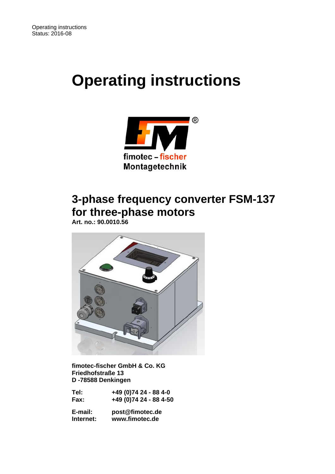# **Operating instructions**



# **3-phase frequency converter FSM-137 for three-phase motors**

 **Art. no.: 90.0010.56** 



 **fimotec-fischer GmbH & Co. KG Friedhofstraße 13 D -78588 Denkingen** 

| Tel: | +49 (0)74 24 - 88 4-0  |
|------|------------------------|
| Fax: | +49 (0)74 24 - 88 4-50 |

 **E-mail: post@fimotec.de Internet: www.fimotec.de**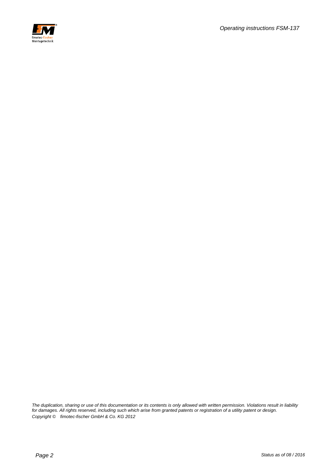

*The duplication, sharing or use of this documentation or its contents is only allowed with written permission. Violations result in liability for damages. All rights reserved, including such which arise from granted patents or registration of a utility patent or design. Copyright © fimotec-fischer GmbH & Co. KG 2012*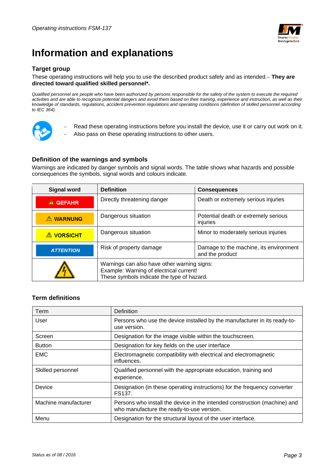

# **Information and explanations**

#### **Target group**

#### These operating instructions will help you to use the described product safely and as intended. **They are directed toward qualified skilled personnel\*.**

*Qualified personnel are people who have been authorized by persons responsible for the safety of the system to execute the required*  activities and are able to recognize potential dangers and avoid them based on their training, experience and instruction, as well as their *knowledge of standards, regulations, accident prevention regulations and operating conditions (definition of skilled personnel according to IEC 364).* 



- Read these operating instructions before you install the device, use it or carry out work on it.
- Also pass on these operating instructions to other users.

#### **Definition of the warnings and symbols**

Warnings are indicated by danger symbols and signal words. The table shows what hazards and possible consequences the symbols, signal words and colours indicate.

| <b>Signal word</b><br><b>Definition</b>        |                                                                                                                                      | <b>Consequences</b>                                       |  |
|------------------------------------------------|--------------------------------------------------------------------------------------------------------------------------------------|-----------------------------------------------------------|--|
| Directly threatening danger<br><b>A</b> GEFAHR |                                                                                                                                      | Death or extremely serious injuries                       |  |
| <b>A WARNUNG</b>                               | Dangerous situation<br>Potential death or extremely serious<br>injuries                                                              |                                                           |  |
| <b>A VORSICHT</b>                              | Minor to moderately serious injuries<br>Dangerous situation                                                                          |                                                           |  |
| <b>ATTENTION</b>                               | Risk of property damage                                                                                                              | Damage to the machine, its environment<br>and the product |  |
|                                                | Warnings can also have other warning signs:<br>Example: Warning of electrical current!<br>These symbols indicate the type of hazard. |                                                           |  |

#### **Term definitions**

| Term                 | Definition                                                                                                             |
|----------------------|------------------------------------------------------------------------------------------------------------------------|
| User                 | Persons who use the device installed by the manufacturer in its ready-to-<br>use version.                              |
| Screen               | Designation for the image visible within the touchscreen.                                                              |
| <b>Button</b>        | Designation for key fields on the user interface                                                                       |
| <b>EMC</b>           | Electromagnetic compatibility with electrical and electromagnetic<br>influences.                                       |
| Skilled personnel    | Qualified personnel with the appropriate education, training and<br>experience.                                        |
| Device               | Designation (in these operating instructions) for the frequency converter<br>FS137.                                    |
| Machine manufacturer | Persons who install the device in the intended construction (machine) and<br>who manufacture the ready-to-use version. |
| Menu                 | Designation for the structural layout of the user interface.                                                           |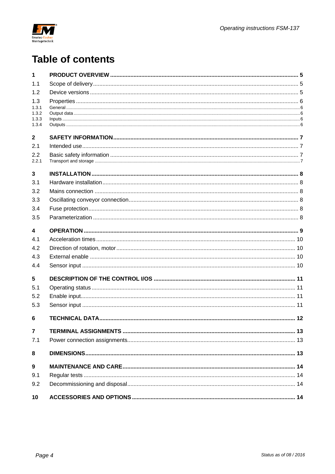

# **Table of contents**

| 1                       |  |
|-------------------------|--|
| 1.1                     |  |
| 1.2                     |  |
| 1.3                     |  |
| 1.3.1<br>1.3.2          |  |
| 1.3.3                   |  |
| 1.3.4                   |  |
| $\mathbf{2}$            |  |
| 2.1                     |  |
| 2.2                     |  |
| 2.2.1                   |  |
| 3                       |  |
| 3.1                     |  |
| 3.2                     |  |
| 3.3                     |  |
| 3.4                     |  |
| 3.5                     |  |
| $\overline{\mathbf{4}}$ |  |
| 4.1                     |  |
| 4.2                     |  |
| 4.3                     |  |
| 4.4                     |  |
| 5                       |  |
| 5.1                     |  |
| 5.2                     |  |
| 5.3                     |  |
| 6                       |  |
| $\overline{7}$          |  |
| 7.1                     |  |
| 8                       |  |
| 9                       |  |
| 9.1                     |  |
| 9.2                     |  |
| 10                      |  |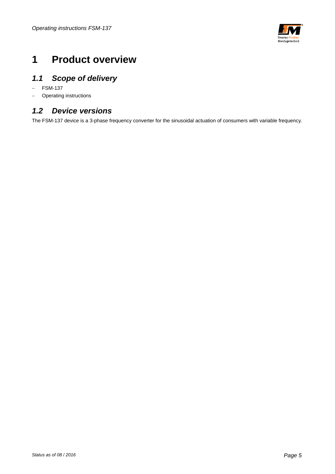

# **1 Product overview**

# *1.1 Scope of delivery*

- FSM-137
- Operating instructions

### *1.2 Device versions*

The FSM-137 device is a 3-phase frequency converter for the sinusoidal actuation of consumers with variable frequency.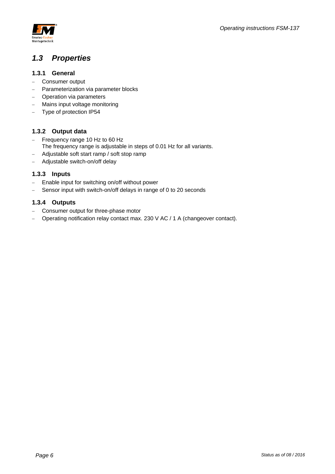

### *1.3 Properties*

#### **1.3.1 General**

- Consumer output
- Parameterization via parameter blocks
- Operation via parameters
- Mains input voltage monitoring
- Type of protection IP54

#### **1.3.2 Output data**

- Frequency range 10 Hz to 60 Hz The frequency range is adjustable in steps of 0.01 Hz for all variants.
- Adjustable soft start ramp / soft stop ramp
- Adjustable switch-on/off delay

#### **1.3.3 Inputs**

- Enable input for switching on/off without power
- Sensor input with switch-on/off delays in range of 0 to 20 seconds

#### **1.3.4 Outputs**

- Consumer output for three-phase motor
- Operating notification relay contact max. 230 V AC / 1 A (changeover contact).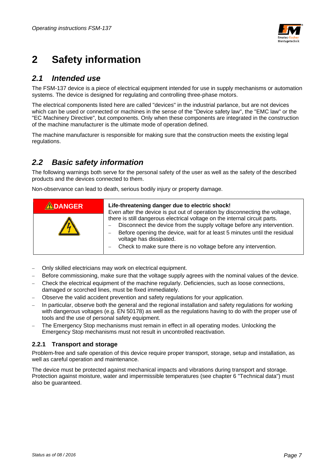

# **2 Safety information**

#### *2.1 Intended use*

The FSM-137 device is a piece of electrical equipment intended for use in supply mechanisms or automation systems. The device is designed for regulating and controlling three-phase motors.

The electrical components listed here are called "devices" in the industrial parlance, but are not devices which can be used or connected or machines in the sense of the "Device safety law", the "EMC law" or the "EC Machinery Directive", but components. Only when these components are integrated in the construction of the machine manufacturer is the ultimate mode of operation defined.

The machine manufacturer is responsible for making sure that the construction meets the existing legal regulations.

### *2.2 Basic safety information*

The following warnings both serve for the personal safety of the user as well as the safety of the described products and the devices connected to them.

Non-observance can lead to death, serious bodily injury or property damage.

| ADANGER | Life-threatening danger due to electric shock!<br>Even after the device is put out of operation by disconnecting the voltage,                                                                                                                                                                                                   |  |  |
|---------|---------------------------------------------------------------------------------------------------------------------------------------------------------------------------------------------------------------------------------------------------------------------------------------------------------------------------------|--|--|
|         | there is still dangerous electrical voltage on the internal circuit parts.<br>Disconnect the device from the supply voltage before any intervention.<br>Before opening the device, wait for at least 5 minutes until the residual<br>voltage has dissipated.<br>Check to make sure there is no voltage before any intervention. |  |  |

- Only skilled electricians may work on electrical equipment.
- Before commissioning, make sure that the voltage supply agrees with the nominal values of the device.
- Check the electrical equipment of the machine regularly. Deficiencies, such as loose connections, damaged or scorched lines, must be fixed immediately.
- Observe the valid accident prevention and safety regulations for your application.
- In particular, observe both the general and the regional installation and safety regulations for working with dangerous voltages (e.g. EN 50178) as well as the regulations having to do with the proper use of tools and the use of personal safety equipment.
- The Emergency Stop mechanisms must remain in effect in all operating modes. Unlocking the Emergency Stop mechanisms must not result in uncontrolled reactivation.

#### **2.2.1 Transport and storage**

Problem-free and safe operation of this device require proper transport, storage, setup and installation, as well as careful operation and maintenance.

The device must be protected against mechanical impacts and vibrations during transport and storage. Protection against moisture, water and impermissible temperatures (see chapter 6 "Technical data") must also be guaranteed.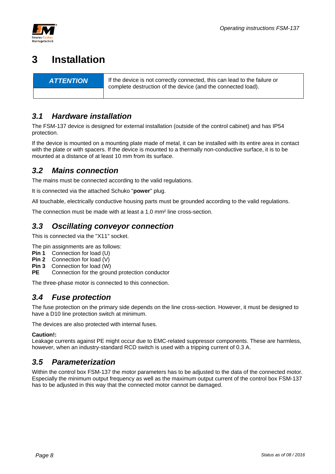

# **3 Installation**

**ATTENTION** If the device is not correctly connected, this can lead to the failure or complete destruction of the device (and the connected load).

## *3.1 Hardware installation*

The FSM-137 device is designed for external installation (outside of the control cabinet) and has IP54 protection.

If the device is mounted on a mounting plate made of metal, it can be installed with its entire area in contact with the plate or with spacers. If the device is mounted to a thermally non-conductive surface, it is to be mounted at a distance of at least 10 mm from its surface.

### *3.2 Mains connection*

The mains must be connected according to the valid regulations.

It is connected via the attached Schuko "**power**" plug.

All touchable, electrically conductive housing parts must be grounded according to the valid regulations.

The connection must be made with at least a 1.0 mm² line cross-section.

### *3.3 Oscillating conveyor connection*

This is connected via the "X11" socket.

The pin assignments are as follows:

- **Pin 1** Connection for load (U)
- **Pin 2** Connection for load (V)
- **Pin 3** Connection for load (W)
- **PE** Connection for the ground protection conductor

The three-phase motor is connected to this connection.

#### *3.4 Fuse protection*

The fuse protection on the primary side depends on the line cross-section. However, it must be designed to have a D10 line protection switch at minimum.

The devices are also protected with internal fuses.

#### **Caution!:**

Leakage currents against PE might occur due to EMC-related suppressor components. These are harmless, however, when an industry-standard RCD switch is used with a tripping current of 0.3 A.

### *3.5 Parameterization*

Within the control box FSM-137 the motor parameters has to be adjusted to the data of the connected motor. Especially the minimum output frequency as well as the maximum output current of the control box FSM-137 has to be adjusted in this way that the connected motor cannot be damaged.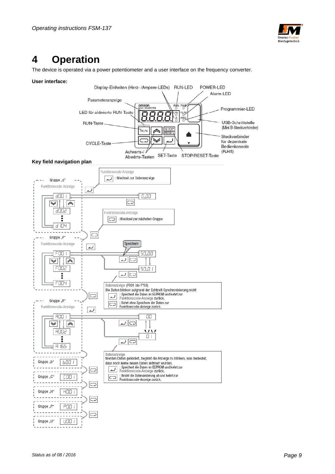

# **4 Operation**

The device is operated via a power potentiometer and a user interface on the frequency converter.

#### **User interface:**

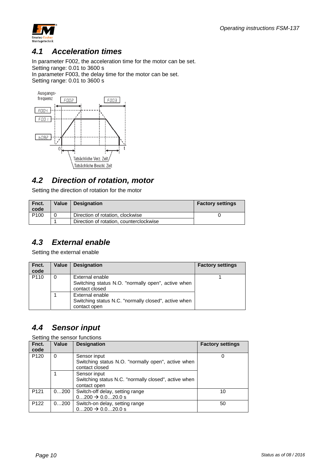

#### *4.1 Acceleration times*

In parameter F002, the acceleration time for the motor can be set. Setting range: 0.01 to 3600 s

In parameter F003, the delay time for the motor can be set.

Setting range: 0.01 to 3600 s



### *4.2 Direction of rotation, motor*

Setting the direction of rotation for the motor

| Fnct.<br>code    | Value | Designation                             | <b>Factory settings</b> |
|------------------|-------|-----------------------------------------|-------------------------|
| P <sub>100</sub> |       | Direction of rotation, clockwise        |                         |
|                  |       | Direction of rotation, counterclockwise |                         |

### *4.3 External enable*

Setting the external enable

| Fnct.<br>code    | Value    | <b>Designation</b>                                                                      | <b>Factory settings</b> |
|------------------|----------|-----------------------------------------------------------------------------------------|-------------------------|
| P <sub>110</sub> | $\Omega$ | External enable<br>Switching status N.O. "normally open", active when<br>contact closed |                         |
|                  |          | External enable<br>Switching status N.C. "normally closed", active when<br>contact open |                         |

### *4.4 Sensor input*

Setting the sensor functions

| Fnct.<br>code    | Value | <b>Designation</b>                                                                   | <b>Factory settings</b> |
|------------------|-------|--------------------------------------------------------------------------------------|-------------------------|
| P <sub>120</sub> | 0     | Sensor input<br>Switching status N.O. "normally open", active when<br>contact closed | 0                       |
|                  |       | Sensor input<br>Switching status N.C. "normally closed", active when<br>contact open |                         |
| P <sub>121</sub> | 0200  | Switch-off delay, setting range<br>$0200 \rightarrow 0.020.0 s$                      | 10                      |
| P <sub>122</sub> | 0200  | Switch-on delay, setting range<br>$0200 \rightarrow 0.020.0 s$                       | 50                      |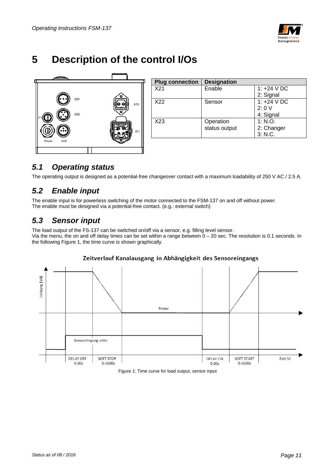

# **5 Description of the control I/Os**



| <b>Plug connection</b> | <b>Designation</b> |               |
|------------------------|--------------------|---------------|
| X21                    | Enable             | 1: $+24$ V DC |
|                        |                    | 2: Signal     |
| X22                    | Sensor             | 1: $+24$ V DC |
|                        |                    | 2:0V          |
|                        |                    | 4: Signal     |
| X23                    | Operation          | 1: N.O.       |
|                        | status output      | 2: Changer    |
|                        |                    | 3: N.C.       |
|                        |                    |               |

## *5.1 Operating status*

The operating output is designed as a potential-free changeover contact with a maximum loadability of 250 V AC / 2.5 A.

## *5.2 Enable input*

The enable input is for powerless switching of the motor connected to the FSM-137 on and off without power. The enable must be designed via a potential-free contact. (e.g.: external switch)

## *5.3 Sensor input*

The load output of the FS-137 can be switched on/off via a sensor, e.g. filling level sensor. Via the menu, the on and off delay times can be set within a range between 0 – 20 sec. The resolution is 0.1 seconds. In the following Figure 1, the time curve is shown graphically.



#### Zeitverlauf Kanalausgang in Abhängigkeit des Sensoreingangs

Figure 1: Time curve for load output, sensor input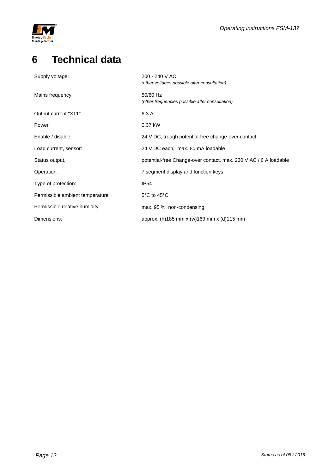

# **6 Technical data**

| Supply voltage:                 | 200 - 240 V AC<br>(other voltages possible after consultation)   |
|---------------------------------|------------------------------------------------------------------|
| Mains frequency:                | 50/60 Hz<br>(other frequencies possible after consultation)      |
| Output current "X11"            | 6.3 A                                                            |
| Power                           | 0.37 kW                                                          |
| Enable / disable                | 24 V DC, trough potential-free change-over contact               |
| Load current, sensor:           | 24 V DC each, max. 80 mA loadable                                |
| Status output,                  | potential-free Change-over contact, max. 230 V AC / 6 A loadable |
| Operation:                      | 7 segment display and function keys                              |
| Type of protection:             | <b>IP54</b>                                                      |
| Permissible ambient temperature | 5°C to 45°C                                                      |
| Permissible relative humidity   | max. 95 %, non-condensing.                                       |
| Dimensions:                     | approx. (h) 185 mm x (w) 169 mm x (d) 115 mm                     |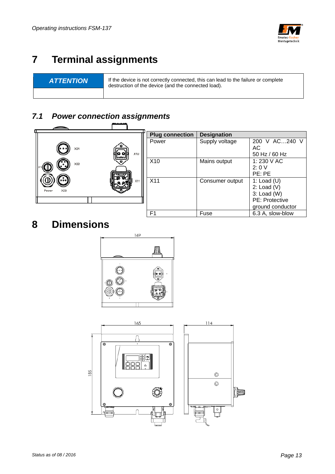

# **7 Terminal assignments**

**ATTENTION** If the device is not correctly connected, this can lead to the failure or complete destruction of the device (and the connected load).

#### *7.1 Power connection assignments*   $\overline{ }$ Ë

|                     |                       | <b>Plug connection</b> | <b>Designation</b> |                  |
|---------------------|-----------------------|------------------------|--------------------|------------------|
|                     |                       | Power                  | Supply voltage     | 200 V AC240 V    |
| X21                 |                       |                        |                    | AC               |
|                     | X10<br>io ol<br>لمحما |                        |                    | 50 Hz / 60 Hz    |
| X22                 |                       | X10                    | Mains output       | 1:230 V AC       |
|                     |                       |                        |                    | 2:0V             |
|                     |                       |                        |                    | PE: PE           |
| $\cdot \cdot \cdot$ | X11                   | X <sub>11</sub>        | Consumer output    | 1: Load $(U)$    |
| X23<br>Power        |                       |                        |                    | 2: Load $(V)$    |
|                     |                       |                        |                    | $3:$ Load (W)    |
|                     |                       |                        |                    | PE: Protective   |
|                     |                       |                        |                    | ground conductor |
|                     |                       | F <sub>1</sub>         | Fuse               | 6.3 A, slow-blow |

# **8 Dimensions**





ib